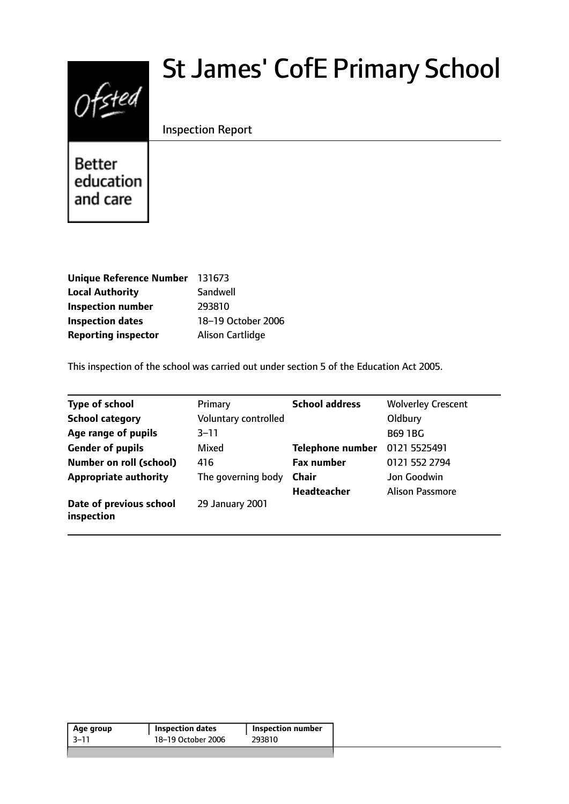# Ofsted

# St James' CofE Primary School

# Inspection Report

**Better** education and care

| <b>Unique Reference Number</b> | 131673                  |
|--------------------------------|-------------------------|
| <b>Local Authority</b>         | Sandwell                |
| <b>Inspection number</b>       | 293810                  |
| <b>Inspection dates</b>        | 18-19 October 2006      |
| <b>Reporting inspector</b>     | <b>Alison Cartlidge</b> |

This inspection of the school was carried out under section 5 of the Education Act 2005.

| <b>Type of school</b>                 | Primary              | <b>School address</b>   | <b>Wolverley Crescent</b> |
|---------------------------------------|----------------------|-------------------------|---------------------------|
| <b>School category</b>                | Voluntary controlled |                         | Oldbury                   |
| Age range of pupils                   | $3 - 11$             |                         | <b>B69 1BG</b>            |
| <b>Gender of pupils</b>               | Mixed                | <b>Telephone number</b> | 0121 5525491              |
| Number on roll (school)               | 416                  | <b>Fax number</b>       | 0121 552 2794             |
| <b>Appropriate authority</b>          | The governing body   | <b>Chair</b>            | Jon Goodwin               |
|                                       |                      | <b>Headteacher</b>      | <b>Alison Passmore</b>    |
| Date of previous school<br>inspection | 29 January 2001      |                         |                           |

| Age group | <b>Inspection dates</b> | Inspection number |
|-----------|-------------------------|-------------------|
| 3–11      | 18-19 October 2006      | 293810            |
|           |                         |                   |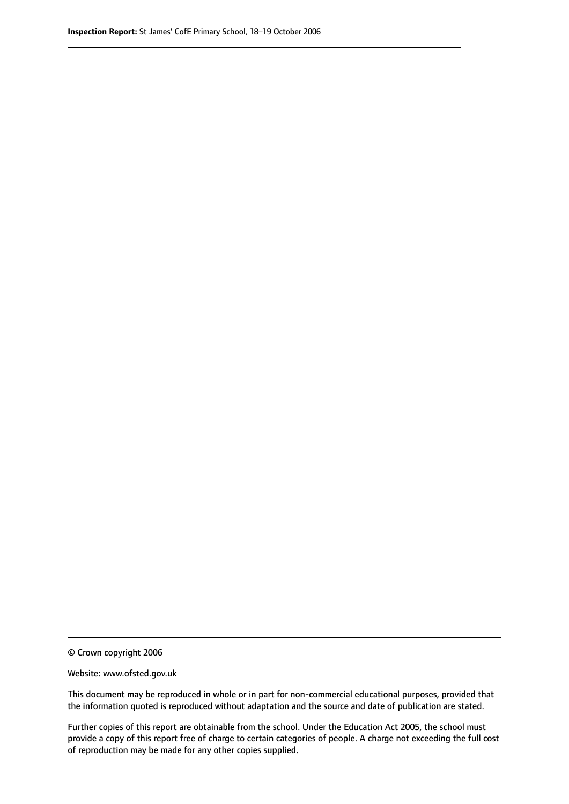© Crown copyright 2006

Website: www.ofsted.gov.uk

This document may be reproduced in whole or in part for non-commercial educational purposes, provided that the information quoted is reproduced without adaptation and the source and date of publication are stated.

Further copies of this report are obtainable from the school. Under the Education Act 2005, the school must provide a copy of this report free of charge to certain categories of people. A charge not exceeding the full cost of reproduction may be made for any other copies supplied.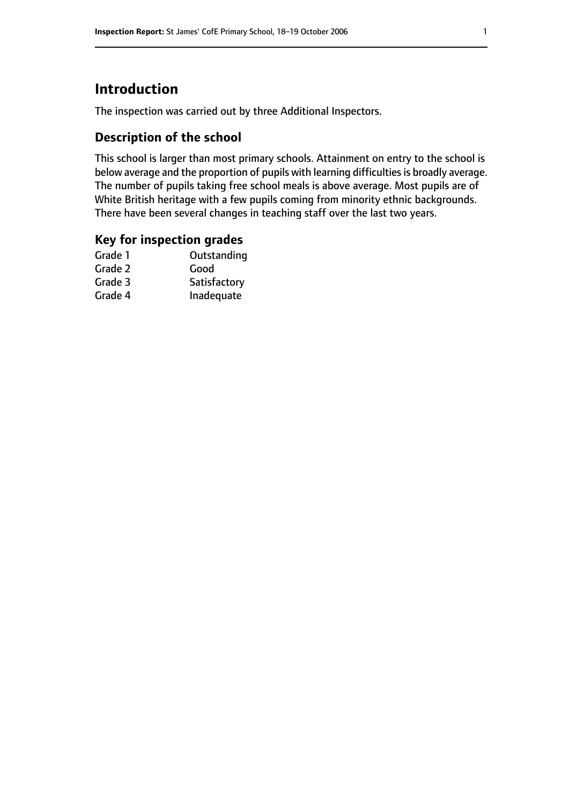# **Introduction**

The inspection was carried out by three Additional Inspectors.

# **Description of the school**

This school is larger than most primary schools. Attainment on entry to the school is below average and the proportion of pupils with learning difficulties is broadly average. The number of pupils taking free school meals is above average. Most pupils are of White British heritage with a few pupils coming from minority ethnic backgrounds. There have been several changes in teaching staff over the last two years.

## **Key for inspection grades**

| Good         |
|--------------|
|              |
| Satisfactory |
| Inadequate   |
|              |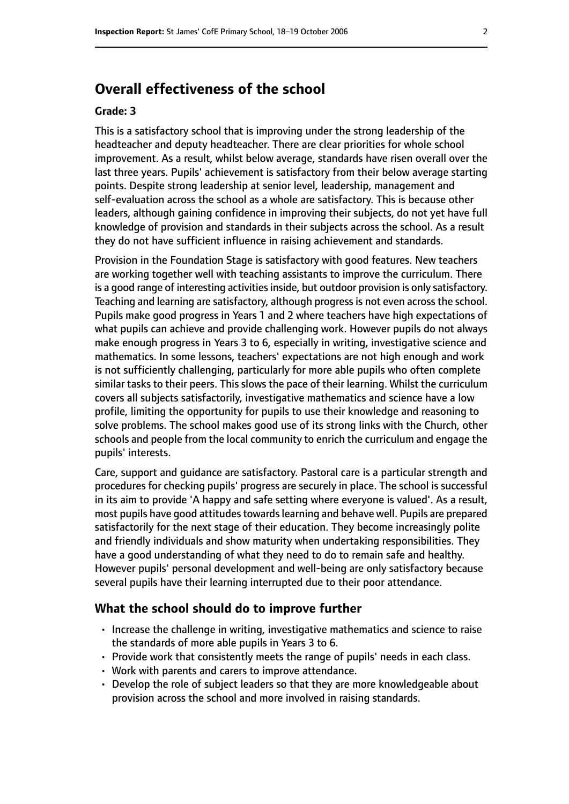# **Overall effectiveness of the school**

#### **Grade: 3**

This is a satisfactory school that is improving under the strong leadership of the headteacher and deputy headteacher. There are clear priorities for whole school improvement. As a result, whilst below average, standards have risen overall over the last three years. Pupils' achievement is satisfactory from their below average starting points. Despite strong leadership at senior level, leadership, management and self-evaluation across the school as a whole are satisfactory. This is because other leaders, although gaining confidence in improving their subjects, do not yet have full knowledge of provision and standards in their subjects across the school. As a result they do not have sufficient influence in raising achievement and standards.

Provision in the Foundation Stage is satisfactory with good features. New teachers are working together well with teaching assistants to improve the curriculum. There is a good range of interesting activities inside, but outdoor provision is only satisfactory. Teaching and learning are satisfactory, although progress is not even across the school. Pupils make good progress in Years 1 and 2 where teachers have high expectations of what pupils can achieve and provide challenging work. However pupils do not always make enough progress in Years 3 to 6, especially in writing, investigative science and mathematics. In some lessons, teachers' expectations are not high enough and work is not sufficiently challenging, particularly for more able pupils who often complete similar tasks to their peers. This slows the pace of their learning. Whilst the curriculum covers all subjects satisfactorily, investigative mathematics and science have a low profile, limiting the opportunity for pupils to use their knowledge and reasoning to solve problems. The school makes good use of its strong links with the Church, other schools and people from the local community to enrich the curriculum and engage the pupils' interests.

Care, support and guidance are satisfactory. Pastoral care is a particular strength and procedures for checking pupils' progress are securely in place. The school is successful in its aim to provide 'A happy and safe setting where everyone is valued'. As a result, most pupils have good attitudes towards learning and behave well. Pupils are prepared satisfactorily for the next stage of their education. They become increasingly polite and friendly individuals and show maturity when undertaking responsibilities. They have a good understanding of what they need to do to remain safe and healthy. However pupils' personal development and well-being are only satisfactory because several pupils have their learning interrupted due to their poor attendance.

#### **What the school should do to improve further**

- Increase the challenge in writing, investigative mathematics and science to raise the standards of more able pupils in Years 3 to 6.
- Provide work that consistently meets the range of pupils' needs in each class.
- Work with parents and carers to improve attendance.
- Develop the role of subject leaders so that they are more knowledgeable about provision across the school and more involved in raising standards.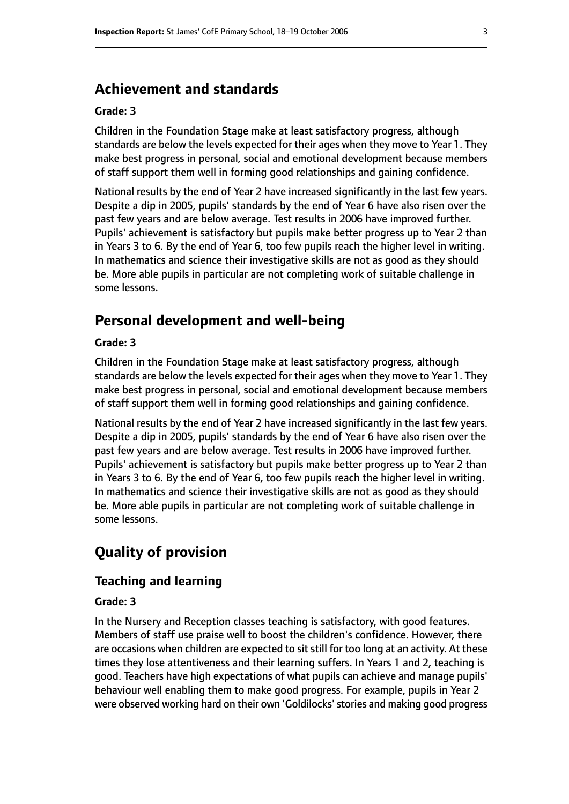# **Achievement and standards**

#### **Grade: 3**

Children in the Foundation Stage make at least satisfactory progress, although standards are below the levels expected for their ages when they move to Year 1. They make best progress in personal, social and emotional development because members of staff support them well in forming good relationships and gaining confidence.

National results by the end of Year 2 have increased significantly in the last few years. Despite a dip in 2005, pupils' standards by the end of Year 6 have also risen over the past few years and are below average. Test results in 2006 have improved further. Pupils' achievement is satisfactory but pupils make better progress up to Year 2 than in Years 3 to 6. By the end of Year 6, too few pupils reach the higher level in writing. In mathematics and science their investigative skills are not as good as they should be. More able pupils in particular are not completing work of suitable challenge in some lessons.

# **Personal development and well-being**

#### **Grade: 3**

Children in the Foundation Stage make at least satisfactory progress, although standards are below the levels expected for their ages when they move to Year 1. They make best progress in personal, social and emotional development because members of staff support them well in forming good relationships and gaining confidence.

National results by the end of Year 2 have increased significantly in the last few years. Despite a dip in 2005, pupils' standards by the end of Year 6 have also risen over the past few years and are below average. Test results in 2006 have improved further. Pupils' achievement is satisfactory but pupils make better progress up to Year 2 than in Years 3 to 6. By the end of Year 6, too few pupils reach the higher level in writing. In mathematics and science their investigative skills are not as good as they should be. More able pupils in particular are not completing work of suitable challenge in some lessons.

# **Quality of provision**

#### **Teaching and learning**

#### **Grade: 3**

In the Nursery and Reception classes teaching is satisfactory, with good features. Members of staff use praise well to boost the children's confidence. However, there are occasions when children are expected to sit still for too long at an activity. At these times they lose attentiveness and their learning suffers. In Years 1 and 2, teaching is good. Teachers have high expectations of what pupils can achieve and manage pupils' behaviour well enabling them to make good progress. For example, pupils in Year 2 were observed working hard on their own 'Goldilocks' stories and making good progress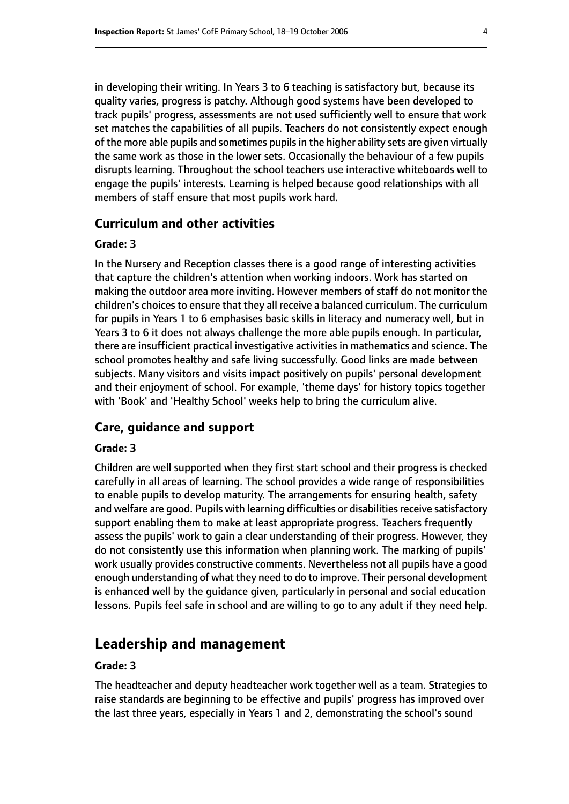in developing their writing. In Years 3 to 6 teaching is satisfactory but, because its quality varies, progress is patchy. Although good systems have been developed to track pupils' progress, assessments are not used sufficiently well to ensure that work set matches the capabilities of all pupils. Teachers do not consistently expect enough of the more able pupils and sometimes pupils in the higher ability sets are given virtually the same work as those in the lower sets. Occasionally the behaviour of a few pupils disrupts learning. Throughout the school teachers use interactive whiteboards well to engage the pupils' interests. Learning is helped because good relationships with all members of staff ensure that most pupils work hard.

#### **Curriculum and other activities**

#### **Grade: 3**

In the Nursery and Reception classes there is a good range of interesting activities that capture the children's attention when working indoors. Work has started on making the outdoor area more inviting. However members of staff do not monitor the children's choices to ensure that they all receive a balanced curriculum. The curriculum for pupils in Years 1 to 6 emphasises basic skills in literacy and numeracy well, but in Years 3 to 6 it does not always challenge the more able pupils enough. In particular, there are insufficient practical investigative activities in mathematics and science. The school promotes healthy and safe living successfully. Good links are made between subjects. Many visitors and visits impact positively on pupils' personal development and their enjoyment of school. For example, 'theme days' for history topics together with 'Book' and 'Healthy School' weeks help to bring the curriculum alive.

#### **Care, guidance and support**

#### **Grade: 3**

Children are well supported when they first start school and their progress is checked carefully in all areas of learning. The school provides a wide range of responsibilities to enable pupils to develop maturity. The arrangements for ensuring health, safety and welfare are good. Pupils with learning difficulties or disabilities receive satisfactory support enabling them to make at least appropriate progress. Teachers frequently assess the pupils' work to gain a clear understanding of their progress. However, they do not consistently use this information when planning work. The marking of pupils' work usually provides constructive comments. Nevertheless not all pupils have a good enough understanding of what they need to do to improve. Their personal development is enhanced well by the guidance given, particularly in personal and social education lessons. Pupils feel safe in school and are willing to go to any adult if they need help.

## **Leadership and management**

#### **Grade: 3**

The headteacher and deputy headteacher work together well as a team. Strategies to raise standards are beginning to be effective and pupils' progress has improved over the last three years, especially in Years 1 and 2, demonstrating the school's sound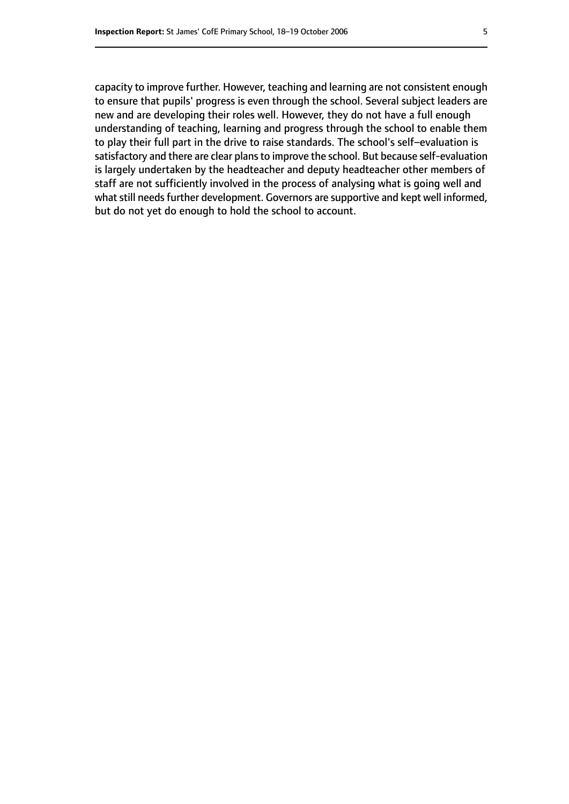capacity to improve further. However, teaching and learning are not consistent enough to ensure that pupils' progress is even through the school. Several subject leaders are new and are developing their roles well. However, they do not have a full enough understanding of teaching, learning and progress through the school to enable them to play their full part in the drive to raise standards. The school's self-evaluation is satisfactory and there are clear plans to improve the school. But because self-evaluation is largely undertaken by the headteacher and deputy headteacher other members of staff are not sufficiently involved in the process of analysing what is going well and what still needs further development. Governors are supportive and kept well informed, but do not yet do enough to hold the school to account.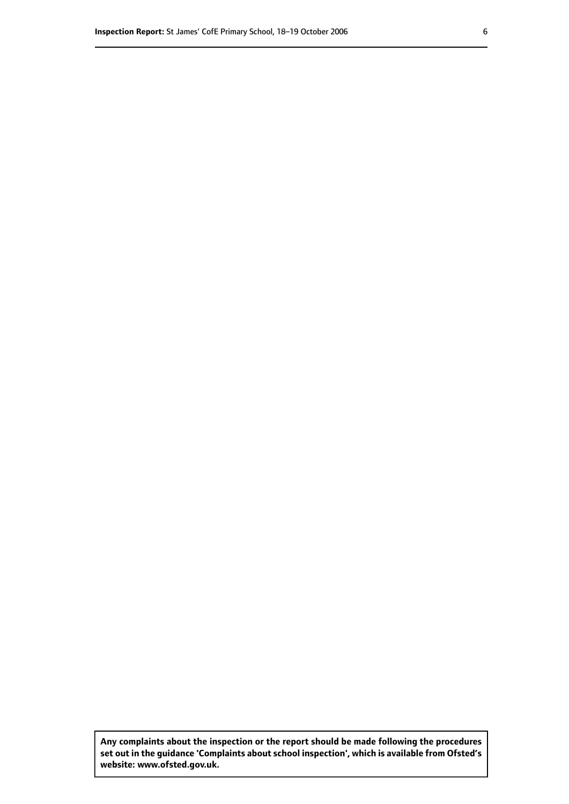**Any complaints about the inspection or the report should be made following the procedures set out inthe guidance 'Complaints about school inspection', whichis available from Ofsted's website: www.ofsted.gov.uk.**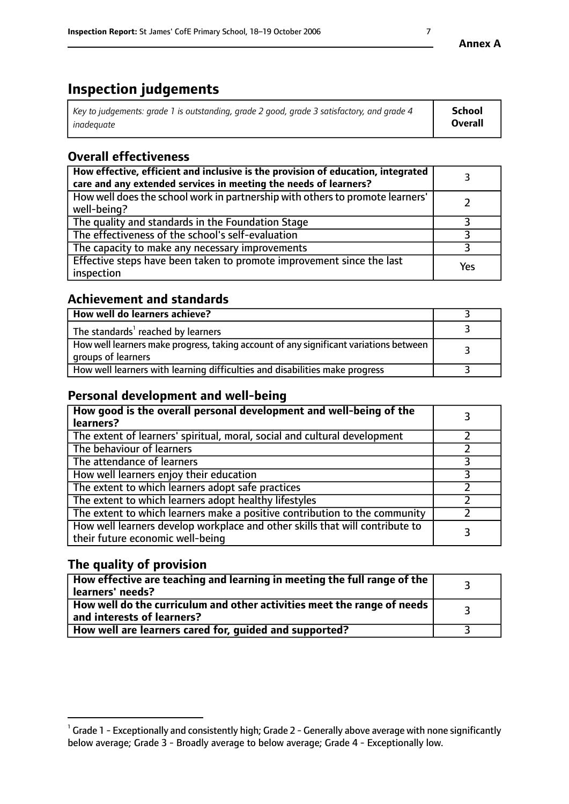# **Inspection judgements**

| Key to judgements: grade 1 is outstanding, grade 2 good, grade 3 satisfactory, and grade 4 | <b>School</b>  |
|--------------------------------------------------------------------------------------------|----------------|
| inadeauate                                                                                 | <b>Overall</b> |

# **Overall effectiveness**

| How effective, efficient and inclusive is the provision of education, integrated<br>care and any extended services in meeting the needs of learners? |     |
|------------------------------------------------------------------------------------------------------------------------------------------------------|-----|
| How well does the school work in partnership with others to promote learners'<br>well-being?                                                         |     |
| The quality and standards in the Foundation Stage                                                                                                    |     |
| The effectiveness of the school's self-evaluation                                                                                                    |     |
| The capacity to make any necessary improvements                                                                                                      |     |
| Effective steps have been taken to promote improvement since the last<br>inspection                                                                  | Yes |

# **Achievement and standards**

| How well do learners achieve?                                                                               |  |
|-------------------------------------------------------------------------------------------------------------|--|
| The standards <sup>1</sup> reached by learners                                                              |  |
| How well learners make progress, taking account of any significant variations between<br>groups of learners |  |
| How well learners with learning difficulties and disabilities make progress                                 |  |

# **Personal development and well-being**

| How good is the overall personal development and well-being of the<br>learners?                                  |  |
|------------------------------------------------------------------------------------------------------------------|--|
| The extent of learners' spiritual, moral, social and cultural development                                        |  |
| The behaviour of learners                                                                                        |  |
| The attendance of learners                                                                                       |  |
| How well learners enjoy their education                                                                          |  |
| The extent to which learners adopt safe practices                                                                |  |
| The extent to which learners adopt healthy lifestyles                                                            |  |
| The extent to which learners make a positive contribution to the community                                       |  |
| How well learners develop workplace and other skills that will contribute to<br>their future economic well-being |  |

# **The quality of provision**

| $\Box$ How effective are teaching and learning in meeting the full range of the $\Box$<br>  learners' needs?        |  |
|---------------------------------------------------------------------------------------------------------------------|--|
| $\mid$ How well do the curriculum and other activities meet the range of needs<br>$\mid$ and interests of learners? |  |
| How well are learners cared for, guided and supported?                                                              |  |

 $^1$  Grade 1 - Exceptionally and consistently high; Grade 2 - Generally above average with none significantly below average; Grade 3 - Broadly average to below average; Grade 4 - Exceptionally low.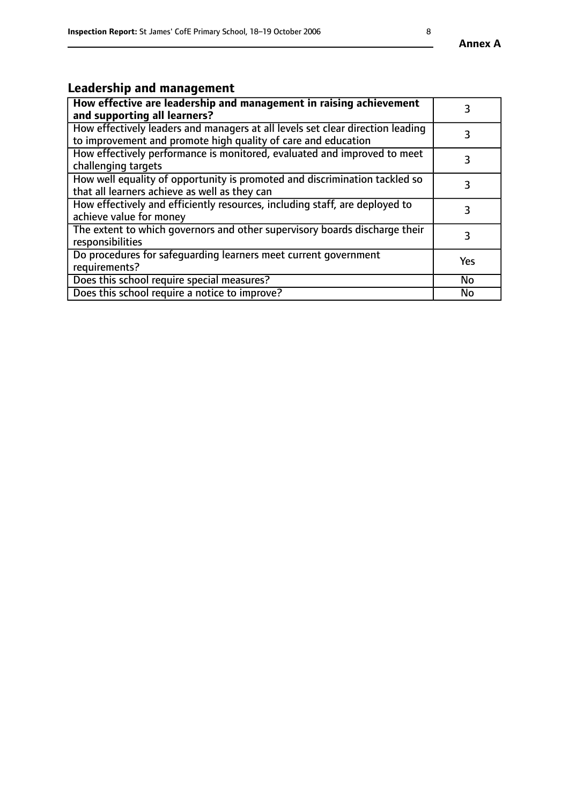#### **Annex A**

# **Leadership and management**

| How effective are leadership and management in raising achievement<br>and supporting all learners?                                              |           |
|-------------------------------------------------------------------------------------------------------------------------------------------------|-----------|
| How effectively leaders and managers at all levels set clear direction leading<br>to improvement and promote high quality of care and education |           |
| How effectively performance is monitored, evaluated and improved to meet<br>challenging targets                                                 | 3         |
| How well equality of opportunity is promoted and discrimination tackled so<br>that all learners achieve as well as they can                     |           |
| How effectively and efficiently resources, including staff, are deployed to<br>achieve value for money                                          | 3         |
| The extent to which governors and other supervisory boards discharge their<br>responsibilities                                                  | 3         |
| Do procedures for safequarding learners meet current government<br>requirements?                                                                | Yes       |
| Does this school require special measures?                                                                                                      | <b>No</b> |
| Does this school require a notice to improve?                                                                                                   | No        |